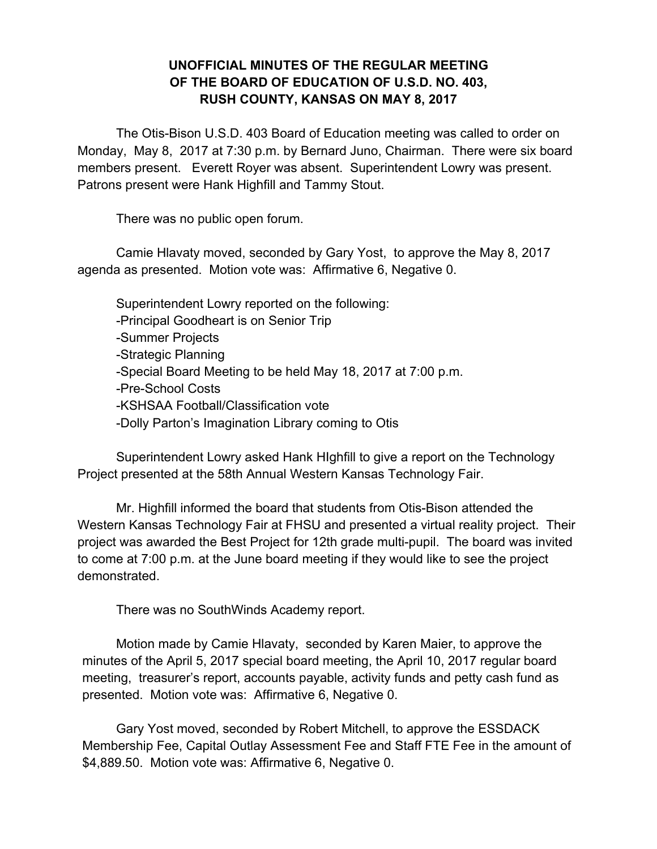## **UNOFFICIAL MINUTES OF THE REGULAR MEETING OF THE BOARD OF EDUCATION OF U.S.D. NO. 403, RUSH COUNTY, KANSAS ON MAY 8, 2017**

The Otis-Bison U.S.D. 403 Board of Education meeting was called to order on Monday, May 8, 2017 at 7:30 p.m. by Bernard Juno, Chairman. There were six board members present. Everett Royer was absent. Superintendent Lowry was present. Patrons present were Hank Highfill and Tammy Stout.

There was no public open forum.

Camie Hlavaty moved, seconded by Gary Yost, to approve the May 8, 2017 agenda as presented. Motion vote was: Affirmative 6, Negative 0.

Superintendent Lowry reported on the following: -Principal Goodheart is on Senior Trip -Summer Projects -Strategic Planning -Special Board Meeting to be held May 18, 2017 at 7:00 p.m. -Pre-School Costs -KSHSAA Football/Classification vote -Dolly Parton's Imagination Library coming to Otis

Superintendent Lowry asked Hank HIghfill to give a report on the Technology Project presented at the 58th Annual Western Kansas Technology Fair.

Mr. Highfill informed the board that students from Otis-Bison attended the Western Kansas Technology Fair at FHSU and presented a virtual reality project. Their project was awarded the Best Project for 12th grade multi-pupil. The board was invited to come at 7:00 p.m. at the June board meeting if they would like to see the project demonstrated.

There was no SouthWinds Academy report.

Motion made by Camie Hlavaty, seconded by Karen Maier, to approve the minutes of the April 5, 2017 special board meeting, the April 10, 2017 regular board meeting, treasurer's report, accounts payable, activity funds and petty cash fund as presented. Motion vote was: Affirmative 6, Negative 0.

Gary Yost moved, seconded by Robert Mitchell, to approve the ESSDACK Membership Fee, Capital Outlay Assessment Fee and Staff FTE Fee in the amount of \$4,889.50. Motion vote was: Affirmative 6, Negative 0.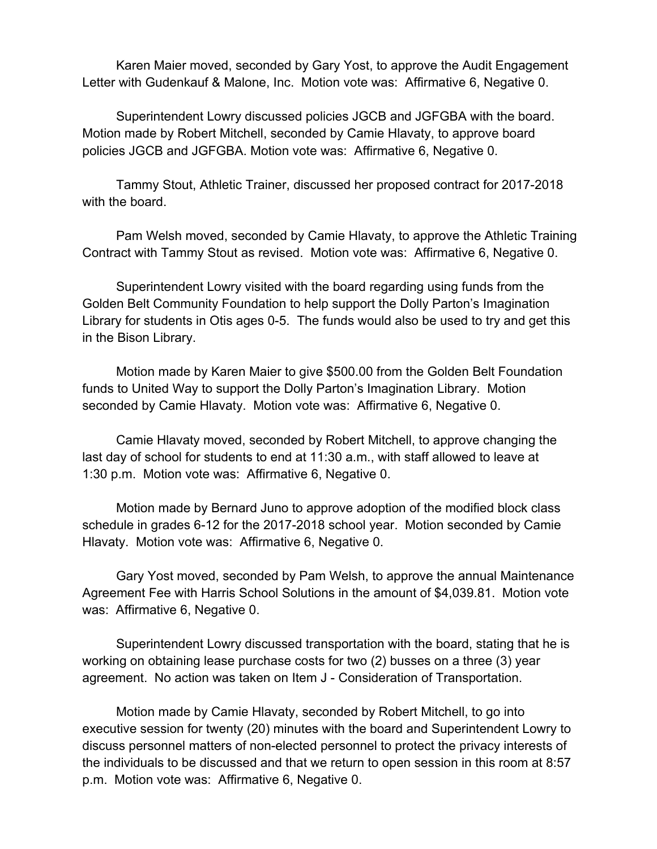Karen Maier moved, seconded by Gary Yost, to approve the Audit Engagement Letter with Gudenkauf & Malone, Inc. Motion vote was: Affirmative 6, Negative 0.

Superintendent Lowry discussed policies JGCB and JGFGBA with the board. Motion made by Robert Mitchell, seconded by Camie Hlavaty, to approve board policies JGCB and JGFGBA. Motion vote was: Affirmative 6, Negative 0.

Tammy Stout, Athletic Trainer, discussed her proposed contract for 2017-2018 with the board.

Pam Welsh moved, seconded by Camie Hlavaty, to approve the Athletic Training Contract with Tammy Stout as revised. Motion vote was: Affirmative 6, Negative 0.

Superintendent Lowry visited with the board regarding using funds from the Golden Belt Community Foundation to help support the Dolly Parton's Imagination Library for students in Otis ages 0-5. The funds would also be used to try and get this in the Bison Library.

Motion made by Karen Maier to give \$500.00 from the Golden Belt Foundation funds to United Way to support the Dolly Parton's Imagination Library. Motion seconded by Camie Hlavaty. Motion vote was: Affirmative 6, Negative 0.

Camie Hlavaty moved, seconded by Robert Mitchell, to approve changing the last day of school for students to end at 11:30 a.m., with staff allowed to leave at 1:30 p.m. Motion vote was: Affirmative 6, Negative 0.

Motion made by Bernard Juno to approve adoption of the modified block class schedule in grades 6-12 for the 2017-2018 school year. Motion seconded by Camie Hlavaty. Motion vote was: Affirmative 6, Negative 0.

Gary Yost moved, seconded by Pam Welsh, to approve the annual Maintenance Agreement Fee with Harris School Solutions in the amount of \$4,039.81. Motion vote was: Affirmative 6, Negative 0.

Superintendent Lowry discussed transportation with the board, stating that he is working on obtaining lease purchase costs for two (2) busses on a three (3) year agreement. No action was taken on Item J - Consideration of Transportation.

Motion made by Camie Hlavaty, seconded by Robert Mitchell, to go into executive session for twenty (20) minutes with the board and Superintendent Lowry to discuss personnel matters of non-elected personnel to protect the privacy interests of the individuals to be discussed and that we return to open session in this room at 8:57 p.m. Motion vote was: Affirmative 6, Negative 0.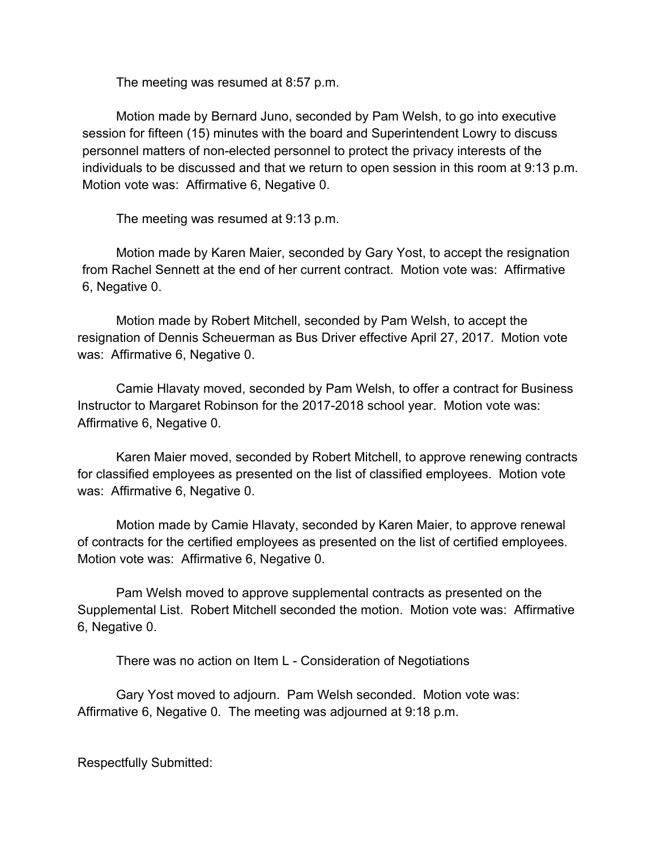The meeting was resumed at 8:57 p.m.

Motion made by Bernard Juno, seconded by Pam Welsh, to go into executive session for fifteen (15) minutes with the board and Superintendent Lowry to discuss personnel matters of non-elected personnel to protect the privacy interests of the individuals to be discussed and that we return to open session in this room at 9:13 p.m. Motion vote was: Affirmative 6, Negative 0.

The meeting was resumed at 9:13 p.m.

Motion made by Karen Maier, seconded by Gary Yost, to accept the resignation from Rachel Sennett at the end of her current contract. Motion vote was: Affirmative 6, Negative 0.

Motion made by Robert Mitchell, seconded by Pam Welsh, to accept the resignation of Dennis Scheuerman as Bus Driver effective April 27, 2017. Motion vote was: Affirmative 6, Negative 0.

Camie Hlavaty moved, seconded by Pam Welsh, to offer a contract for Business Instructor to Margaret Robinson for the 2017-2018 school year. Motion vote was: Affirmative 6, Negative 0.

Karen Maier moved, seconded by Robert Mitchell, to approve renewing contracts for classified employees as presented on the list of classified employees. Motion vote was: Affirmative 6, Negative 0.

Motion made by Camie Hlavaty, seconded by Karen Maier, to approve renewal of contracts for the certified employees as presented on the list of certified employees. Motion vote was: Affirmative 6, Negative 0.

Pam Welsh moved to approve supplemental contracts as presented on the Supplemental List. Robert Mitchell seconded the motion. Motion vote was: Affirmative 6, Negative 0.

There was no action on Item L - Consideration of Negotiations

Gary Yost moved to adjourn. Pam Welsh seconded. Motion vote was: Affirmative 6, Negative 0. The meeting was adjourned at 9:18 p.m.

Respectfully Submitted: